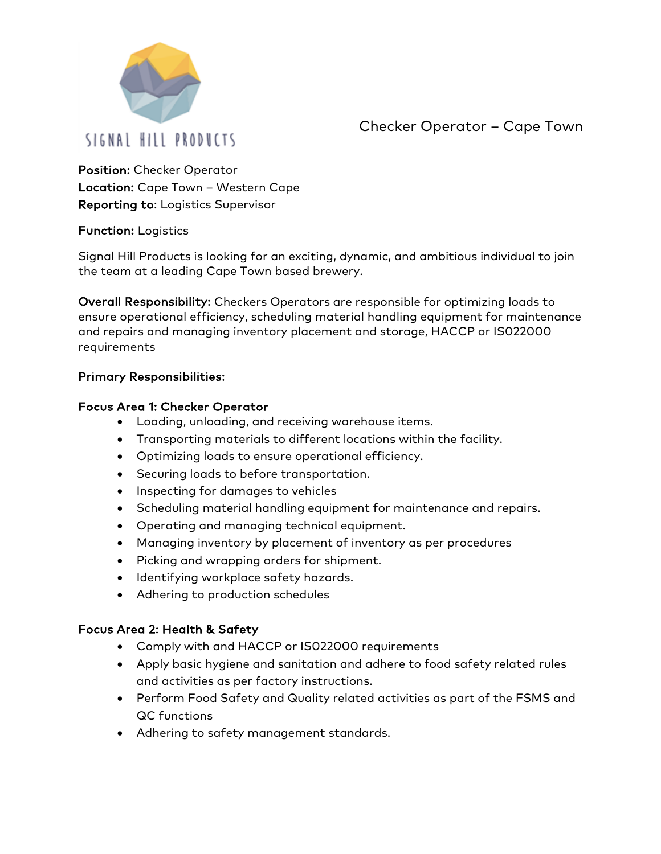

Checker Operator – Cape Town

Position: Checker Operator Location: Cape Town – Western Cape Reporting to: Logistics Supervisor

#### Function: Logistics

Signal Hill Products is looking for an exciting, dynamic, and ambitious individual to join the team at a leading Cape Town based brewery.

Overall Responsibility: Checkers Operators are responsible for optimizing loads to ensure operational efficiency, scheduling material handling equipment for maintenance and repairs and managing inventory placement and storage, HACCP or IS022000 requirements

# Primary Responsibilities:

#### Focus Area 1: Checker Operator

- Loading, unloading, and receiving warehouse items.
- Transporting materials to different locations within the facility.
- Optimizing loads to ensure operational efficiency.
- Securing loads to before transportation.
- Inspecting for damages to vehicles
- Scheduling material handling equipment for maintenance and repairs.
- Operating and managing technical equipment.
- Managing inventory by placement of inventory as per procedures
- Picking and wrapping orders for shipment.
- Identifying workplace safety hazards.
- Adhering to production schedules

#### Focus Area 2: Health & Safety

- Comply with and HACCP or IS022000 requirements
- Apply basic hygiene and sanitation and adhere to food safety related rules and activities as per factory instructions.
- Perform Food Safety and Quality related activities as part of the FSMS and QC functions
- Adhering to safety management standards.